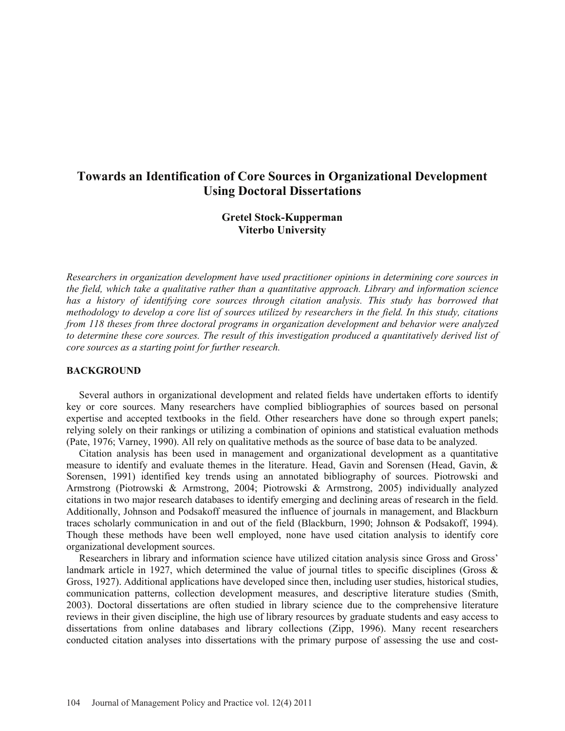# **Towards an Identification of Core Sources in Organizational Development Using Doctoral Dissertations**

## **Gretel Stock-Kupperman Viterbo University**

*Researchers in organization development have used practitioner opinions in determining core sources in the field, which take a qualitative rather than a quantitative approach. Library and information science*  has a history of identifying core sources through citation analysis. This study has borrowed that *methodology to develop a core list of sources utilized by researchers in the field. In this study, citations from 118 theses from three doctoral programs in organization development and behavior were analyzed to determine these core sources. The result of this investigation produced a quantitatively derived list of core sources as a starting point for further research.* 

#### **BACKGROUND**

 Several authors in organizational development and related fields have undertaken efforts to identify key or core sources. Many researchers have complied bibliographies of sources based on personal expertise and accepted textbooks in the field. Other researchers have done so through expert panels; relying solely on their rankings or utilizing a combination of opinions and statistical evaluation methods (Pate, 1976; Varney, 1990). All rely on qualitative methods as the source of base data to be analyzed.

 Citation analysis has been used in management and organizational development as a quantitative measure to identify and evaluate themes in the literature. Head, Gavin and Sorensen (Head, Gavin, & Sorensen, 1991) identified key trends using an annotated bibliography of sources. Piotrowski and Armstrong (Piotrowski & Armstrong, 2004; Piotrowski & Armstrong, 2005) individually analyzed citations in two major research databases to identify emerging and declining areas of research in the field. Additionally, Johnson and Podsakoff measured the influence of journals in management, and Blackburn traces scholarly communication in and out of the field (Blackburn, 1990; Johnson & Podsakoff, 1994). Though these methods have been well employed, none have used citation analysis to identify core organizational development sources.

 Researchers in library and information science have utilized citation analysis since Gross and Gross' landmark article in 1927, which determined the value of journal titles to specific disciplines (Gross  $\&$ Gross, 1927). Additional applications have developed since then, including user studies, historical studies, communication patterns, collection development measures, and descriptive literature studies (Smith, 2003). Doctoral dissertations are often studied in library science due to the comprehensive literature reviews in their given discipline, the high use of library resources by graduate students and easy access to dissertations from online databases and library collections (Zipp, 1996). Many recent researchers conducted citation analyses into dissertations with the primary purpose of assessing the use and cost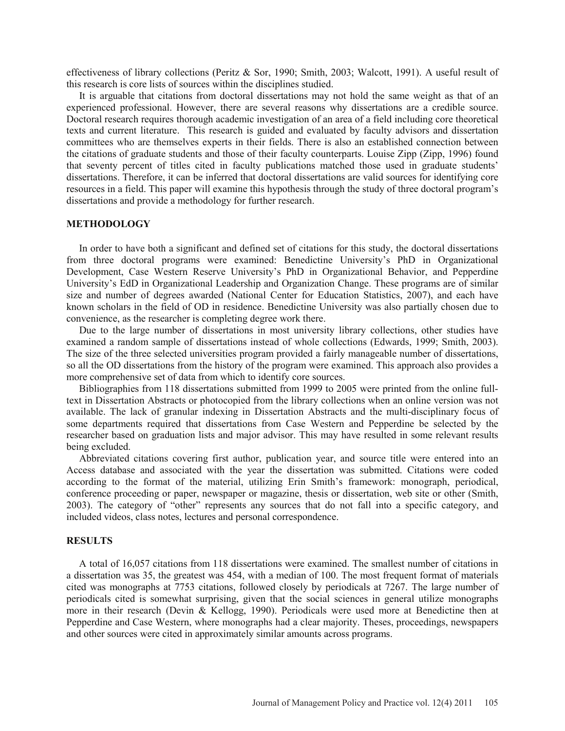effectiveness of library collections (Peritz & Sor, 1990; Smith, 2003; Walcott, 1991). A useful result of this research is core lists of sources within the disciplines studied.

 It is arguable that citations from doctoral dissertations may not hold the same weight as that of an experienced professional. However, there are several reasons why dissertations are a credible source. Doctoral research requires thorough academic investigation of an area of a field including core theoretical texts and current literature. This research is guided and evaluated by faculty advisors and dissertation committees who are themselves experts in their fields. There is also an established connection between the citations of graduate students and those of their faculty counterparts. Louise Zipp (Zipp, 1996) found that seventy percent of titles cited in faculty publications matched those used in graduate students' dissertations. Therefore, it can be inferred that doctoral dissertations are valid sources for identifying core resources in a field. This paper will examine this hypothesis through the study of three doctoral program's dissertations and provide a methodology for further research.

#### **METHODOLOGY**

 In order to have both a significant and defined set of citations for this study, the doctoral dissertations from three doctoral programs were examined: Benedictine University's PhD in Organizational Development, Case Western Reserve University's PhD in Organizational Behavior, and Pepperdine University's EdD in Organizational Leadership and Organization Change. These programs are of similar size and number of degrees awarded (National Center for Education Statistics, 2007), and each have known scholars in the field of OD in residence. Benedictine University was also partially chosen due to convenience, as the researcher is completing degree work there.

 Due to the large number of dissertations in most university library collections, other studies have examined a random sample of dissertations instead of whole collections (Edwards, 1999; Smith, 2003). The size of the three selected universities program provided a fairly manageable number of dissertations, so all the OD dissertations from the history of the program were examined. This approach also provides a more comprehensive set of data from which to identify core sources.

 Bibliographies from 118 dissertations submitted from 1999 to 2005 were printed from the online fulltext in Dissertation Abstracts or photocopied from the library collections when an online version was not available. The lack of granular indexing in Dissertation Abstracts and the multi-disciplinary focus of some departments required that dissertations from Case Western and Pepperdine be selected by the researcher based on graduation lists and major advisor. This may have resulted in some relevant results being excluded.

 Abbreviated citations covering first author, publication year, and source title were entered into an Access database and associated with the year the dissertation was submitted. Citations were coded according to the format of the material, utilizing Erin Smith's framework: monograph, periodical, conference proceeding or paper, newspaper or magazine, thesis or dissertation, web site or other (Smith, 2003). The category of "other" represents any sources that do not fall into a specific category, and included videos, class notes, lectures and personal correspondence.

#### **RESULTS**

 A total of 16,057 citations from 118 dissertations were examined. The smallest number of citations in a dissertation was 35, the greatest was 454, with a median of 100. The most frequent format of materials cited was monographs at 7753 citations, followed closely by periodicals at 7267. The large number of periodicals cited is somewhat surprising, given that the social sciences in general utilize monographs more in their research (Devin & Kellogg, 1990). Periodicals were used more at Benedictine then at Pepperdine and Case Western, where monographs had a clear majority. Theses, proceedings, newspapers and other sources were cited in approximately similar amounts across programs.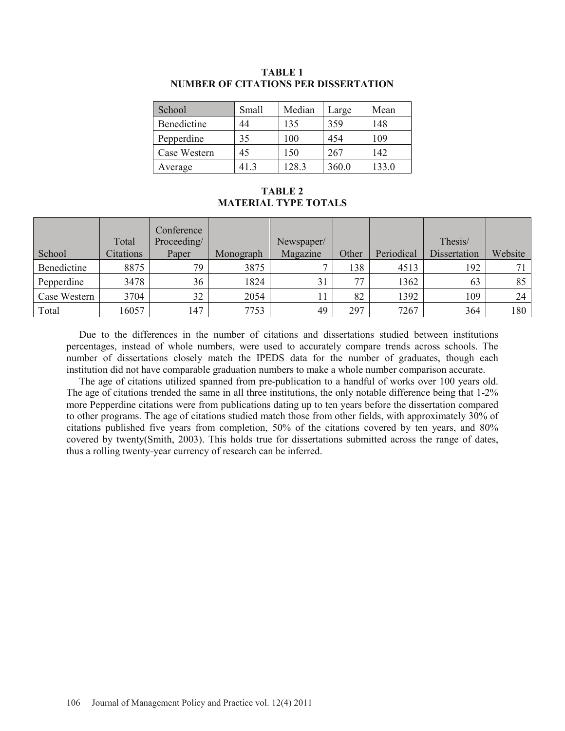| School       | Small | Median | Large | Mean  |
|--------------|-------|--------|-------|-------|
| Benedictine  | 44    | 135    | 359   | 148   |
| Pepperdine   | 35    | 100    | 454   | 109   |
| Case Western | 45    | 150    | 267   | 142   |
| Average      | 413   | 128.3  | 360.0 | 133.0 |

## **TABLE 1 NUMBER OF CITATIONS PER DISSERTATION**

## **TABLE 2 MATERIAL TYPE TOTALS**

|              | Total     | Conference<br>Proceeding/ |           | Newspaper/ |       |            | Thesis/             |         |
|--------------|-----------|---------------------------|-----------|------------|-------|------------|---------------------|---------|
| School       | Citations | Paper                     | Monograph | Magazine   | Other | Periodical | <b>Dissertation</b> | Website |
| Benedictine  | 8875      | 79                        | 3875      |            | 138   | 4513       | 192                 |         |
| Pepperdine   | 3478      | 36                        | 1824      | 31         | 77    | 1362       | 63                  | 85      |
| Case Western | 3704      | 32                        | 2054      | 11         | 82    | 1392       | 109                 | 24      |
| Total        | 16057     | 147                       | 7753      | 49         | 297   | 7267       | 364                 | 180     |

 Due to the differences in the number of citations and dissertations studied between institutions percentages, instead of whole numbers, were used to accurately compare trends across schools. The number of dissertations closely match the IPEDS data for the number of graduates, though each institution did not have comparable graduation numbers to make a whole number comparison accurate.

 The age of citations utilized spanned from pre-publication to a handful of works over 100 years old. The age of citations trended the same in all three institutions, the only notable difference being that 1-2% more Pepperdine citations were from publications dating up to ten years before the dissertation compared to other programs. The age of citations studied match those from other fields, with approximately 30% of citations published five years from completion, 50% of the citations covered by ten years, and 80% covered by twenty(Smith, 2003). This holds true for dissertations submitted across the range of dates, thus a rolling twenty-year currency of research can be inferred.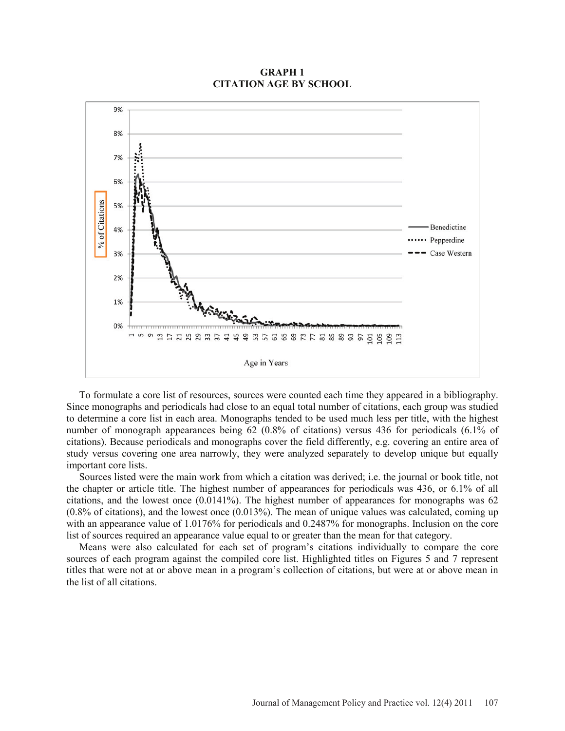### **GRAPH 1 CITATION AGE BY SCHOOL**



 To formulate a core list of resources, sources were counted each time they appeared in a bibliography. Since monographs and periodicals had close to an equal total number of citations, each group was studied to determine a core list in each area. Monographs tended to be used much less per title, with the highest number of monograph appearances being 62 (0.8% of citations) versus 436 for periodicals (6.1% of citations). Because periodicals and monographs cover the field differently, e.g. covering an entire area of study versus covering one area narrowly, they were analyzed separately to develop unique but equally important core lists.

 Sources listed were the main work from which a citation was derived; i.e. the journal or book title, not the chapter or article title. The highest number of appearances for periodicals was 436, or 6.1% of all citations, and the lowest once (0.0141%). The highest number of appearances for monographs was 62 (0.8% of citations), and the lowest once (0.013%). The mean of unique values was calculated, coming up with an appearance value of 1.0176% for periodicals and 0.2487% for monographs. Inclusion on the core list of sources required an appearance value equal to or greater than the mean for that category.

 Means were also calculated for each set of program's citations individually to compare the core sources of each program against the compiled core list. Highlighted titles on Figures 5 and 7 represent titles that were not at or above mean in a program's collection of citations, but were at or above mean in the list of all citations.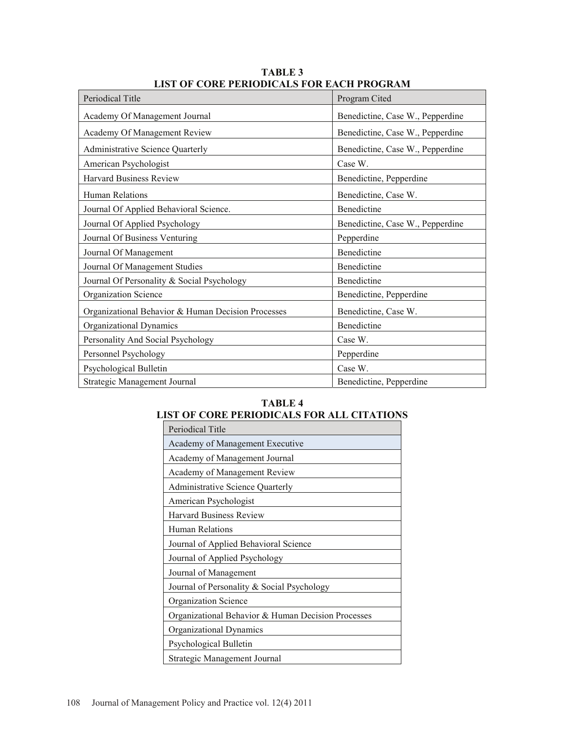| LIBT OF CONETENTODICALB FON EACH I NOONAM          |                                  |  |  |  |
|----------------------------------------------------|----------------------------------|--|--|--|
| Periodical Title                                   | Program Cited                    |  |  |  |
| Academy Of Management Journal                      | Benedictine, Case W., Pepperdine |  |  |  |
| Academy Of Management Review                       | Benedictine, Case W., Pepperdine |  |  |  |
| <b>Administrative Science Quarterly</b>            | Benedictine, Case W., Pepperdine |  |  |  |
| American Psychologist                              | Case W.                          |  |  |  |
| <b>Harvard Business Review</b>                     | Benedictine, Pepperdine          |  |  |  |
| Human Relations                                    | Benedictine, Case W.             |  |  |  |
| Journal Of Applied Behavioral Science.             | Benedictine                      |  |  |  |
| Journal Of Applied Psychology                      | Benedictine, Case W., Pepperdine |  |  |  |
| Journal Of Business Venturing                      | Pepperdine                       |  |  |  |
| Journal Of Management                              | Benedictine                      |  |  |  |
| Journal Of Management Studies                      | Benedictine                      |  |  |  |
| Journal Of Personality & Social Psychology         | Benedictine                      |  |  |  |
| <b>Organization Science</b>                        | Benedictine, Pepperdine          |  |  |  |
| Organizational Behavior & Human Decision Processes | Benedictine, Case W.             |  |  |  |
| Organizational Dynamics                            | Benedictine                      |  |  |  |
| Personality And Social Psychology                  | Case W.                          |  |  |  |
| Personnel Psychology                               | Pepperdine                       |  |  |  |
| Psychological Bulletin                             | Case W.                          |  |  |  |
| Strategic Management Journal                       | Benedictine, Pepperdine          |  |  |  |

**TABLE 3 LIST OF CORE PERIODICALS FOR EACH PROGRAM** 

## **TABLE 4 LIST OF CORE PERIODICALS FOR ALL CITATIONS**

| Periodical Title                                   |
|----------------------------------------------------|
| Academy of Management Executive                    |
| Academy of Management Journal                      |
| Academy of Management Review                       |
| Administrative Science Quarterly                   |
| American Psychologist                              |
| <b>Harvard Business Review</b>                     |
| Human Relations                                    |
| Journal of Applied Behavioral Science              |
| Journal of Applied Psychology                      |
| Journal of Management                              |
| Journal of Personality & Social Psychology         |
| Organization Science                               |
| Organizational Behavior & Human Decision Processes |
| Organizational Dynamics                            |
| Psychological Bulletin                             |
| Strategic Management Journal                       |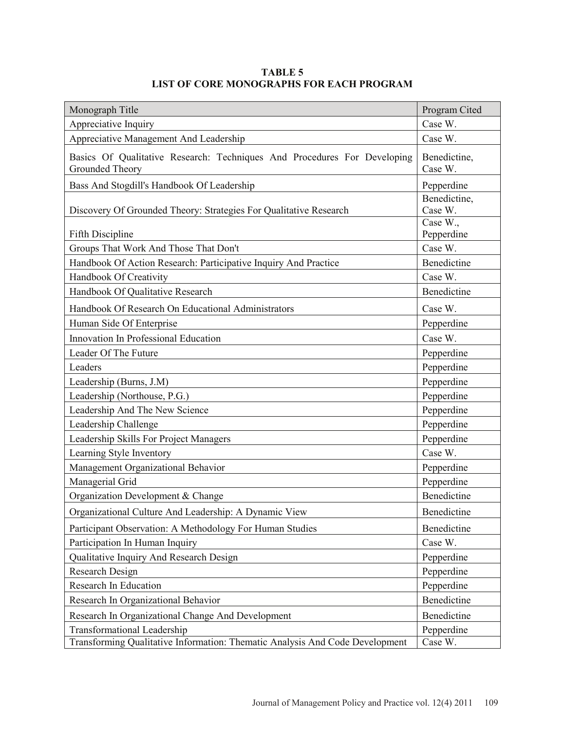| Monograph Title                                                                                                    | Program Cited           |
|--------------------------------------------------------------------------------------------------------------------|-------------------------|
| Appreciative Inquiry                                                                                               | Case W.                 |
| Appreciative Management And Leadership                                                                             | Case W.                 |
| Basics Of Qualitative Research: Techniques And Procedures For Developing<br>Grounded Theory                        | Benedictine,<br>Case W. |
| Bass And Stogdill's Handbook Of Leadership                                                                         | Pepperdine              |
| Discovery Of Grounded Theory: Strategies For Qualitative Research                                                  | Benedictine,<br>Case W. |
| Fifth Discipline                                                                                                   | Case W.,<br>Pepperdine  |
| Groups That Work And Those That Don't                                                                              | Case W.                 |
| Handbook Of Action Research: Participative Inquiry And Practice                                                    | Benedictine             |
| Handbook Of Creativity                                                                                             | Case W.                 |
| Handbook Of Qualitative Research                                                                                   | Benedictine             |
| Handbook Of Research On Educational Administrators                                                                 | Case W.                 |
| Human Side Of Enterprise                                                                                           | Pepperdine              |
| Innovation In Professional Education                                                                               | Case W.                 |
| Leader Of The Future                                                                                               | Pepperdine              |
| Leaders                                                                                                            | Pepperdine              |
| Leadership (Burns, J.M)                                                                                            | Pepperdine              |
| Leadership (Northouse, P.G.)                                                                                       | Pepperdine              |
| Leadership And The New Science                                                                                     | Pepperdine              |
| Leadership Challenge                                                                                               | Pepperdine              |
| Leadership Skills For Project Managers                                                                             | Pepperdine              |
| Learning Style Inventory                                                                                           | Case W.                 |
| Management Organizational Behavior                                                                                 | Pepperdine              |
| Managerial Grid                                                                                                    | Pepperdine              |
| Organization Development & Change                                                                                  | Benedictine             |
| Organizational Culture And Leadership: A Dynamic View                                                              | Benedictine             |
| Participant Observation: A Methodology For Human Studies                                                           | Benedictine             |
| Participation In Human Inquiry                                                                                     | Case W.                 |
| Qualitative Inquiry And Research Design                                                                            | Pepperdine              |
| Research Design                                                                                                    | Pepperdine              |
| <b>Research In Education</b>                                                                                       | Pepperdine              |
| Research In Organizational Behavior                                                                                | Benedictine             |
| Research In Organizational Change And Development                                                                  | Benedictine             |
| <b>Transformational Leadership</b><br>Transforming Qualitative Information: Thematic Analysis And Code Development | Pepperdine<br>Case W.   |

## **TABLE 5 LIST OF CORE MONOGRAPHS FOR EACH PROGRAM**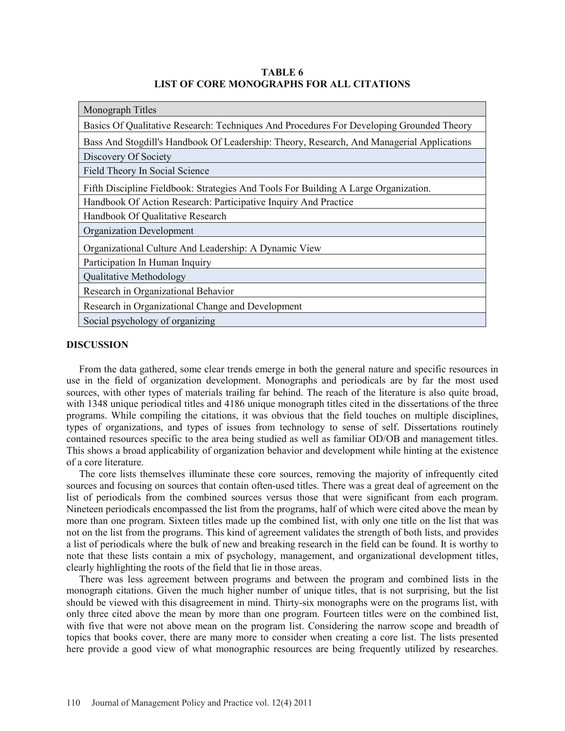**TABLE 6 LIST OF CORE MONOGRAPHS FOR ALL CITATIONS** 

| Monograph Titles                                                                          |
|-------------------------------------------------------------------------------------------|
| Basics Of Qualitative Research: Techniques And Procedures For Developing Grounded Theory  |
| Bass And Stogdill's Handbook Of Leadership: Theory, Research, And Managerial Applications |
| Discovery Of Society                                                                      |
| Field Theory In Social Science                                                            |
| Fifth Discipline Fieldbook: Strategies And Tools For Building A Large Organization.       |
| Handbook Of Action Research: Participative Inquiry And Practice                           |
| Handbook Of Qualitative Research                                                          |
| <b>Organization Development</b>                                                           |
| Organizational Culture And Leadership: A Dynamic View                                     |
| Participation In Human Inquiry                                                            |
| Qualitative Methodology                                                                   |
| Research in Organizational Behavior                                                       |
| Research in Organizational Change and Development                                         |
| Social psychology of organizing                                                           |

### **DISCUSSION**

 From the data gathered, some clear trends emerge in both the general nature and specific resources in use in the field of organization development. Monographs and periodicals are by far the most used sources, with other types of materials trailing far behind. The reach of the literature is also quite broad, with 1348 unique periodical titles and 4186 unique monograph titles cited in the dissertations of the three programs. While compiling the citations, it was obvious that the field touches on multiple disciplines, types of organizations, and types of issues from technology to sense of self. Dissertations routinely contained resources specific to the area being studied as well as familiar OD/OB and management titles. This shows a broad applicability of organization behavior and development while hinting at the existence of a core literature.

 The core lists themselves illuminate these core sources, removing the majority of infrequently cited sources and focusing on sources that contain often-used titles. There was a great deal of agreement on the list of periodicals from the combined sources versus those that were significant from each program. Nineteen periodicals encompassed the list from the programs, half of which were cited above the mean by more than one program. Sixteen titles made up the combined list, with only one title on the list that was not on the list from the programs. This kind of agreement validates the strength of both lists, and provides a list of periodicals where the bulk of new and breaking research in the field can be found. It is worthy to note that these lists contain a mix of psychology, management, and organizational development titles, clearly highlighting the roots of the field that lie in those areas.

 There was less agreement between programs and between the program and combined lists in the monograph citations. Given the much higher number of unique titles, that is not surprising, but the list should be viewed with this disagreement in mind. Thirty-six monographs were on the programs list, with only three cited above the mean by more than one program. Fourteen titles were on the combined list, with five that were not above mean on the program list. Considering the narrow scope and breadth of topics that books cover, there are many more to consider when creating a core list. The lists presented here provide a good view of what monographic resources are being frequently utilized by researches.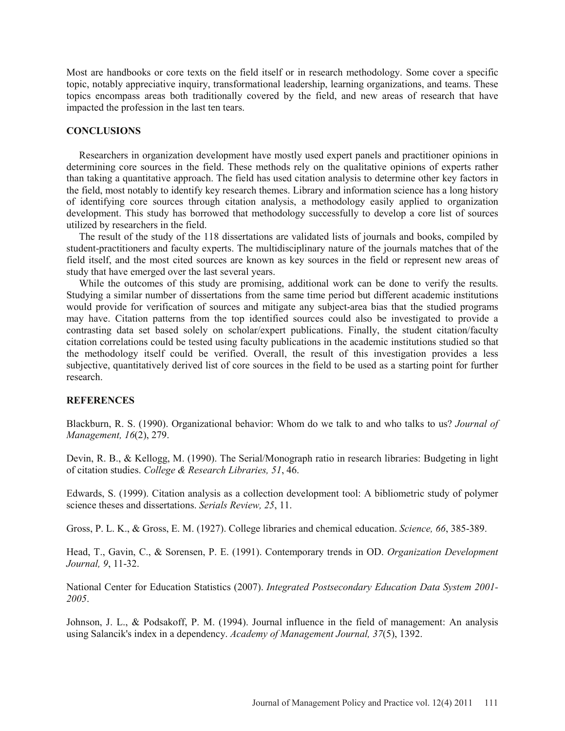Most are handbooks or core texts on the field itself or in research methodology. Some cover a specific topic, notably appreciative inquiry, transformational leadership, learning organizations, and teams. These topics encompass areas both traditionally covered by the field, and new areas of research that have impacted the profession in the last ten tears.

#### **CONCLUSIONS**

 Researchers in organization development have mostly used expert panels and practitioner opinions in determining core sources in the field. These methods rely on the qualitative opinions of experts rather than taking a quantitative approach. The field has used citation analysis to determine other key factors in the field, most notably to identify key research themes. Library and information science has a long history of identifying core sources through citation analysis, a methodology easily applied to organization development. This study has borrowed that methodology successfully to develop a core list of sources utilized by researchers in the field.

 The result of the study of the 118 dissertations are validated lists of journals and books, compiled by student-practitioners and faculty experts. The multidisciplinary nature of the journals matches that of the field itself, and the most cited sources are known as key sources in the field or represent new areas of study that have emerged over the last several years.

 While the outcomes of this study are promising, additional work can be done to verify the results. Studying a similar number of dissertations from the same time period but different academic institutions would provide for verification of sources and mitigate any subject-area bias that the studied programs may have. Citation patterns from the top identified sources could also be investigated to provide a contrasting data set based solely on scholar/expert publications. Finally, the student citation/faculty citation correlations could be tested using faculty publications in the academic institutions studied so that the methodology itself could be verified. Overall, the result of this investigation provides a less subjective, quantitatively derived list of core sources in the field to be used as a starting point for further research.

#### **REFERENCES**

Blackburn, R. S. (1990). Organizational behavior: Whom do we talk to and who talks to us? *Journal of Management, 16*(2), 279.

Devin, R. B., & Kellogg, M. (1990). The Serial/Monograph ratio in research libraries: Budgeting in light of citation studies. *College & Research Libraries, 51*, 46.

Edwards, S. (1999). Citation analysis as a collection development tool: A bibliometric study of polymer science theses and dissertations. *Serials Review, 25*, 11.

Gross, P. L. K., & Gross, E. M. (1927). College libraries and chemical education. *Science, 66*, 385-389.

Head, T., Gavin, C., & Sorensen, P. E. (1991). Contemporary trends in OD. *Organization Development Journal, 9*, 11-32.

National Center for Education Statistics (2007). *Integrated Postsecondary Education Data System 2001- 2005*.

Johnson, J. L., & Podsakoff, P. M. (1994). Journal influence in the field of management: An analysis using Salancik's index in a dependency. *Academy of Management Journal, 37*(5), 1392.